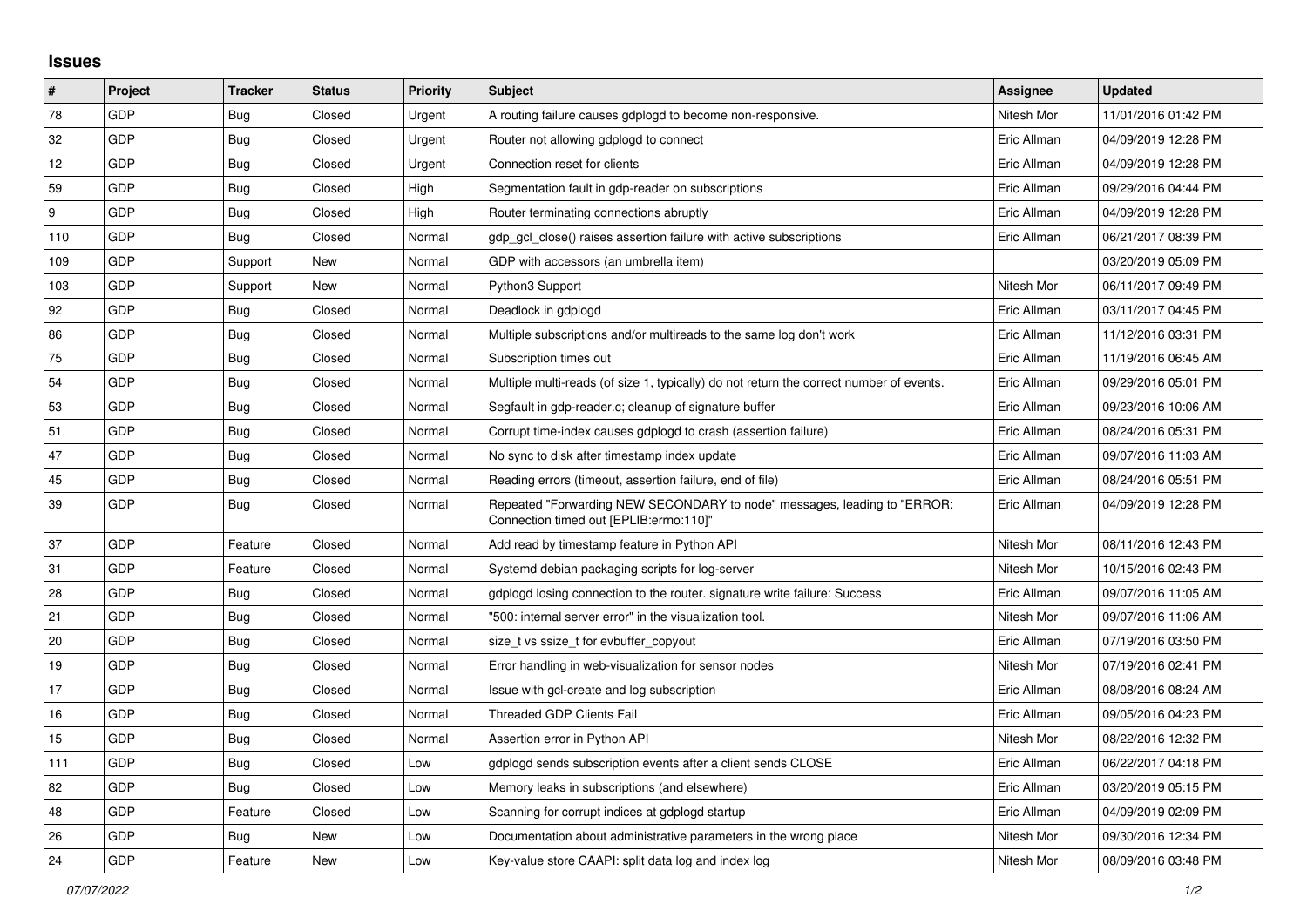## **Issues**

| $\vert$ #        | Project    | <b>Tracker</b> | <b>Status</b> | <b>Priority</b> | <b>Subject</b>                                                                                                      | <b>Assignee</b> | <b>Updated</b>      |
|------------------|------------|----------------|---------------|-----------------|---------------------------------------------------------------------------------------------------------------------|-----------------|---------------------|
| 78               | GDP        | Bug            | Closed        | Urgent          | A routing failure causes gdplogd to become non-responsive.                                                          | Nitesh Mor      | 11/01/2016 01:42 PM |
| 32               | GDP        | <b>Bug</b>     | Closed        | Urgent          | Router not allowing gdplogd to connect                                                                              | Eric Allman     | 04/09/2019 12:28 PM |
| 12               | <b>GDP</b> | <b>Bug</b>     | Closed        | Urgent          | Connection reset for clients                                                                                        | Eric Allman     | 04/09/2019 12:28 PM |
| 59               | GDP        | Bug            | Closed        | High            | Segmentation fault in gdp-reader on subscriptions                                                                   | Eric Allman     | 09/29/2016 04:44 PM |
| $\boldsymbol{9}$ | GDP        | Bug            | Closed        | High            | Router terminating connections abruptly                                                                             | Eric Allman     | 04/09/2019 12:28 PM |
| 110              | GDP        | Bug            | Closed        | Normal          | gdp gcl close() raises assertion failure with active subscriptions                                                  | Eric Allman     | 06/21/2017 08:39 PM |
| 109              | GDP        | Support        | New           | Normal          | GDP with accessors (an umbrella item)                                                                               |                 | 03/20/2019 05:09 PM |
| 103              | GDP        | Support        | New           | Normal          | Python3 Support                                                                                                     | Nitesh Mor      | 06/11/2017 09:49 PM |
| 92               | GDP        | <b>Bug</b>     | Closed        | Normal          | Deadlock in gdplogd                                                                                                 | Eric Allman     | 03/11/2017 04:45 PM |
| 86               | GDP        | <b>Bug</b>     | Closed        | Normal          | Multiple subscriptions and/or multireads to the same log don't work                                                 | Eric Allman     | 11/12/2016 03:31 PM |
| 75               | GDP        | <b>Bug</b>     | Closed        | Normal          | Subscription times out                                                                                              | Eric Allman     | 11/19/2016 06:45 AM |
| 54               | GDP        | <b>Bug</b>     | Closed        | Normal          | Multiple multi-reads (of size 1, typically) do not return the correct number of events.                             | Eric Allman     | 09/29/2016 05:01 PM |
| 53               | GDP        | <b>Bug</b>     | Closed        | Normal          | Segfault in gdp-reader.c; cleanup of signature buffer                                                               | Eric Allman     | 09/23/2016 10:06 AM |
| 51               | GDP        | Bug            | Closed        | Normal          | Corrupt time-index causes gdplogd to crash (assertion failure)                                                      | Eric Allman     | 08/24/2016 05:31 PM |
| 47               | GDP        | <b>Bug</b>     | Closed        | Normal          | No sync to disk after timestamp index update                                                                        | Eric Allman     | 09/07/2016 11:03 AM |
| 45               | GDP        | Bug            | Closed        | Normal          | Reading errors (timeout, assertion failure, end of file)                                                            | Eric Allman     | 08/24/2016 05:51 PM |
| 39               | GDP        | Bug            | Closed        | Normal          | Repeated "Forwarding NEW SECONDARY to node" messages, leading to "ERROR:<br>"Connection timed out [EPLIB:errno:110] | Eric Allman     | 04/09/2019 12:28 PM |
| 37               | GDP        | Feature        | Closed        | Normal          | Add read by timestamp feature in Python API                                                                         | Nitesh Mor      | 08/11/2016 12:43 PM |
| 31               | GDP        | Feature        | Closed        | Normal          | Systemd debian packaging scripts for log-server                                                                     | Nitesh Mor      | 10/15/2016 02:43 PM |
| 28               | GDP        | Bug            | Closed        | Normal          | gdplogd losing connection to the router, signature write failure: Success                                           | Eric Allman     | 09/07/2016 11:05 AM |
| 21               | GDP        | <b>Bug</b>     | Closed        | Normal          | '500: internal server error" in the visualization tool.                                                             | Nitesh Mor      | 09/07/2016 11:06 AM |
| 20               | GDP        | Bug            | Closed        | Normal          | size t vs ssize t for evbuffer copyout                                                                              | Eric Allman     | 07/19/2016 03:50 PM |
| 19               | GDP        | Bug            | Closed        | Normal          | Error handling in web-visualization for sensor nodes                                                                | Nitesh Mor      | 07/19/2016 02:41 PM |
| 17               | GDP        | Bug            | Closed        | Normal          | Issue with gcl-create and log subscription                                                                          | Eric Allman     | 08/08/2016 08:24 AM |
| 16               | GDP        | Bug            | Closed        | Normal          | Threaded GDP Clients Fail                                                                                           | Eric Allman     | 09/05/2016 04:23 PM |
| 15               | GDP        | <b>Bug</b>     | Closed        | Normal          | Assertion error in Python API                                                                                       | Nitesh Mor      | 08/22/2016 12:32 PM |
| 111              | GDP        | Bug            | Closed        | Low             | gdplogd sends subscription events after a client sends CLOSE                                                        | Eric Allman     | 06/22/2017 04:18 PM |
| 82               | GDP        | Bug            | Closed        | Low             | Memory leaks in subscriptions (and elsewhere)                                                                       | Eric Allman     | 03/20/2019 05:15 PM |
| 48               | <b>GDP</b> | Feature        | Closed        | Low             | Scanning for corrupt indices at gdplogd startup                                                                     | Eric Allman     | 04/09/2019 02:09 PM |
| 26               | GDP        | Bug            | New           | Low             | Documentation about administrative parameters in the wrong place                                                    | Nitesh Mor      | 09/30/2016 12:34 PM |
| 24               | GDP        | Feature        | New           | Low             | Key-value store CAAPI: split data log and index log                                                                 | Nitesh Mor      | 08/09/2016 03:48 PM |